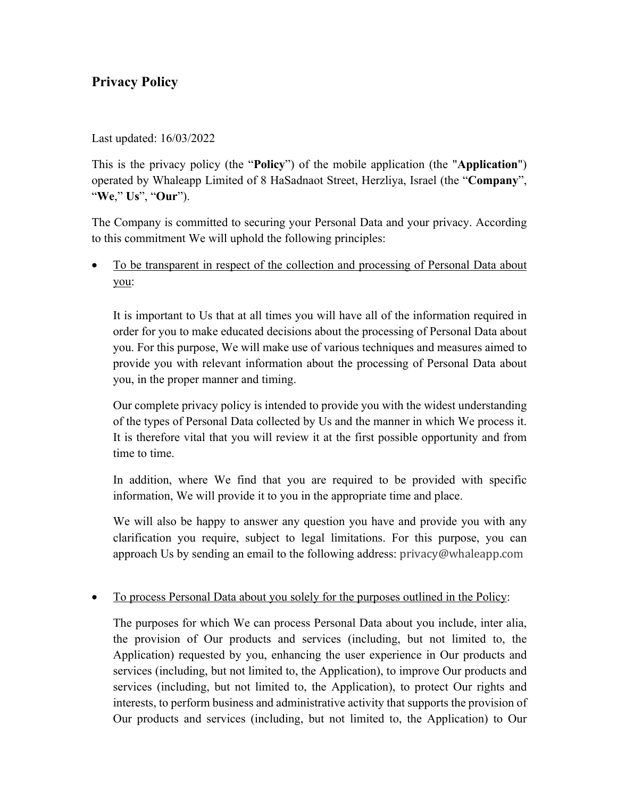# **Privacy Policy**

## Last updated: 16/03/2022

This is the privacy policy (the "**Policy**") of the mobile application (the "**Application**") operated by Whaleapp Limited of 8 HaSadnaot Street, Herzliya, Israel (the "**Company**", "**We**," **Us**", "**Our**").

The Company is committed to securing your Personal Data and your privacy. According to this commitment We will uphold the following principles:

To be transparent in respect of the collection and processing of Personal Data about you:

It is important to Us that at all times you will have all of the information required in order for you to make educated decisions about the processing of Personal Data about you. For this purpose, We will make use of various techniques and measures aimed to provide you with relevant information about the processing of Personal Data about you, in the proper manner and timing.

Our complete privacy policy is intended to provide you with the widest understanding of the types of Personal Data collected by Us and the manner in which We process it. It is therefore vital that you will review it at the first possible opportunity and from time to time.

In addition, where We find that you are required to be provided with specific information, We will provide it to you in the appropriate time and place.

We will also be happy to answer any question you have and provide you with any clarification you require, subject to legal limitations. For this purpose, you can approach Us by sending an email to the following address: privacy@whaleapp.com

# • To process Personal Data about you solely for the purposes outlined in the Policy:

The purposes for which We can process Personal Data about you include, inter alia, the provision of Our products and services (including, but not limited to, the Application) requested by you, enhancing the user experience in Our products and services (including, but not limited to, the Application), to improve Our products and services (including, but not limited to, the Application), to protect Our rights and interests, to perform business and administrative activity that supports the provision of Our products and services (including, but not limited to, the Application) to Our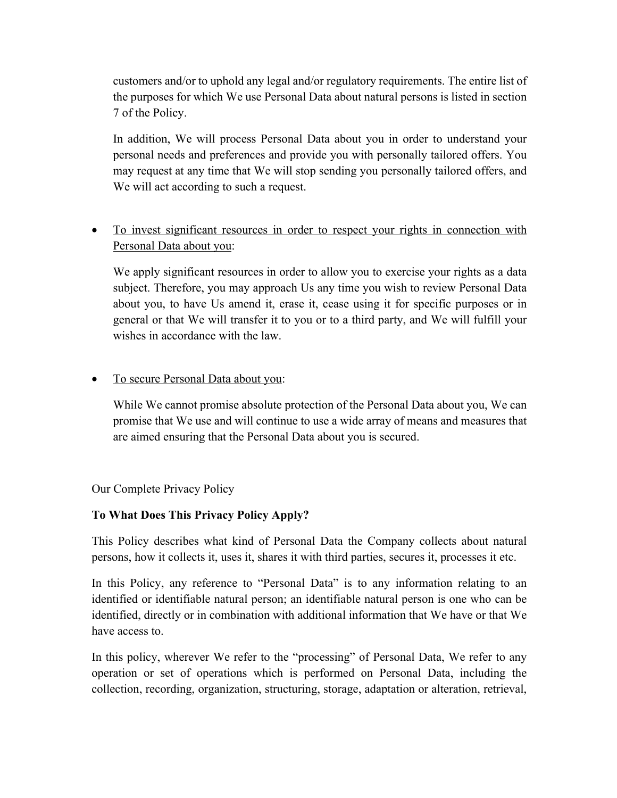customers and/or to uphold any legal and/or regulatory requirements. The entire list of the purposes for which We use Personal Data about natural persons is listed in section 7 of the Policy.

In addition, We will process Personal Data about you in order to understand your personal needs and preferences and provide you with personally tailored offers. You may request at any time that We will stop sending you personally tailored offers, and We will act according to such a request.

# • To invest significant resources in order to respect your rights in connection with Personal Data about you:

We apply significant resources in order to allow you to exercise your rights as a data subject. Therefore, you may approach Us any time you wish to review Personal Data about you, to have Us amend it, erase it, cease using it for specific purposes or in general or that We will transfer it to you or to a third party, and We will fulfill your wishes in accordance with the law.

# • To secure Personal Data about you:

While We cannot promise absolute protection of the Personal Data about you, We can promise that We use and will continue to use a wide array of means and measures that are aimed ensuring that the Personal Data about you is secured.

# Our Complete Privacy Policy

# **To What Does This Privacy Policy Apply?**

This Policy describes what kind of Personal Data the Company collects about natural persons, how it collects it, uses it, shares it with third parties, secures it, processes it etc.

In this Policy, any reference to "Personal Data" is to any information relating to an identified or identifiable natural person; an identifiable natural person is one who can be identified, directly or in combination with additional information that We have or that We have access to.

In this policy, wherever We refer to the "processing" of Personal Data, We refer to any operation or set of operations which is performed on Personal Data, including the collection, recording, organization, structuring, storage, adaptation or alteration, retrieval,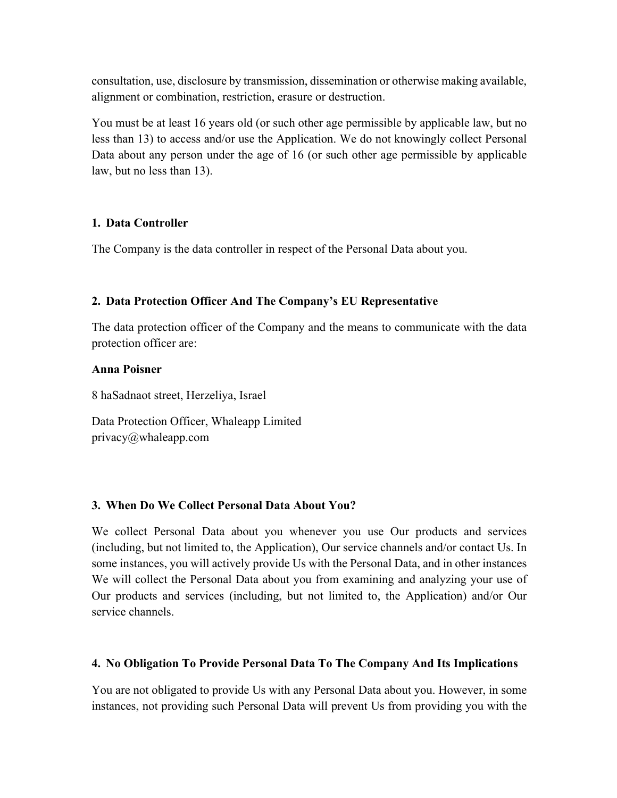consultation, use, disclosure by transmission, dissemination or otherwise making available, alignment or combination, restriction, erasure or destruction.

You must be at least 16 years old (or such other age permissible by applicable law, but no less than 13) to access and/or use the Application. We do not knowingly collect Personal Data about any person under the age of 16 (or such other age permissible by applicable law, but no less than 13).

### **1. Data Controller**

The Company is the data controller in respect of the Personal Data about you.

### **2. Data Protection Officer And The Company's EU Representative**

The data protection officer of the Company and the means to communicate with the data protection officer are:

#### **Anna Poisner**

8 haSadnaot street, Herzeliya, Israel

Data Protection Officer, Whaleapp Limited privacy@whaleapp.com

#### **3. When Do We Collect Personal Data About You?**

We collect Personal Data about you whenever you use Our products and services (including, but not limited to, the Application), Our service channels and/or contact Us. In some instances, you will actively provide Us with the Personal Data, and in other instances We will collect the Personal Data about you from examining and analyzing your use of Our products and services (including, but not limited to, the Application) and/or Our service channels.

# **4. No Obligation To Provide Personal Data To The Company And Its Implications**

You are not obligated to provide Us with any Personal Data about you. However, in some instances, not providing such Personal Data will prevent Us from providing you with the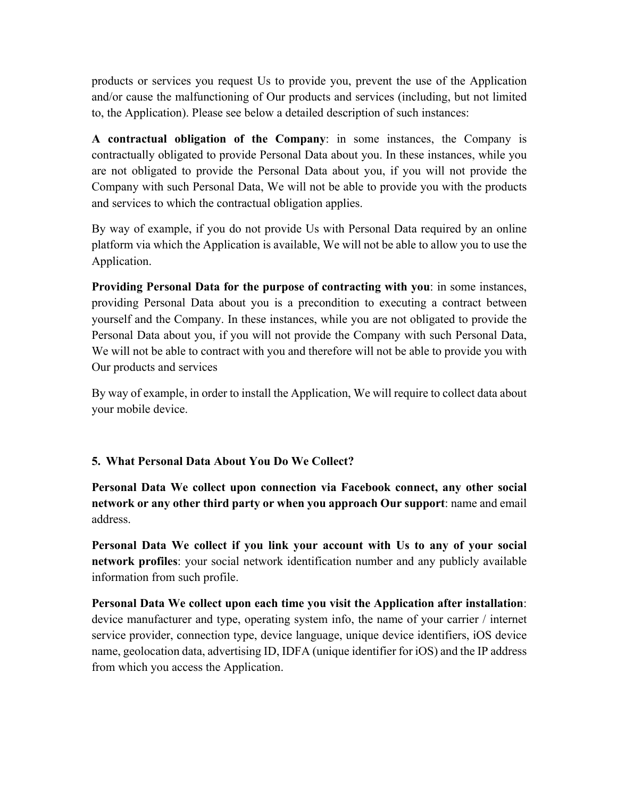products or services you request Us to provide you, prevent the use of the Application and/or cause the malfunctioning of Our products and services (including, but not limited to, the Application). Please see below a detailed description of such instances:

**A contractual obligation of the Company**: in some instances, the Company is contractually obligated to provide Personal Data about you. In these instances, while you are not obligated to provide the Personal Data about you, if you will not provide the Company with such Personal Data, We will not be able to provide you with the products and services to which the contractual obligation applies.

By way of example, if you do not provide Us with Personal Data required by an online platform via which the Application is available, We will not be able to allow you to use the Application.

**Providing Personal Data for the purpose of contracting with you**: in some instances, providing Personal Data about you is a precondition to executing a contract between yourself and the Company. In these instances, while you are not obligated to provide the Personal Data about you, if you will not provide the Company with such Personal Data, We will not be able to contract with you and therefore will not be able to provide you with Our products and services

By way of example, in order to install the Application, We will require to collect data about your mobile device.

# **5. What Personal Data About You Do We Collect?**

**Personal Data We collect upon connection via Facebook connect, any other social network or any other third party or when you approach Our support**: name and email address.

**Personal Data We collect if you link your account with Us to any of your social network profiles**: your social network identification number and any publicly available information from such profile.

**Personal Data We collect upon each time you visit the Application after installation**: device manufacturer and type, operating system info, the name of your carrier / internet service provider, connection type, device language, unique device identifiers, iOS device name, geolocation data, advertising ID, IDFA (unique identifier for iOS) and the IP address from which you access the Application.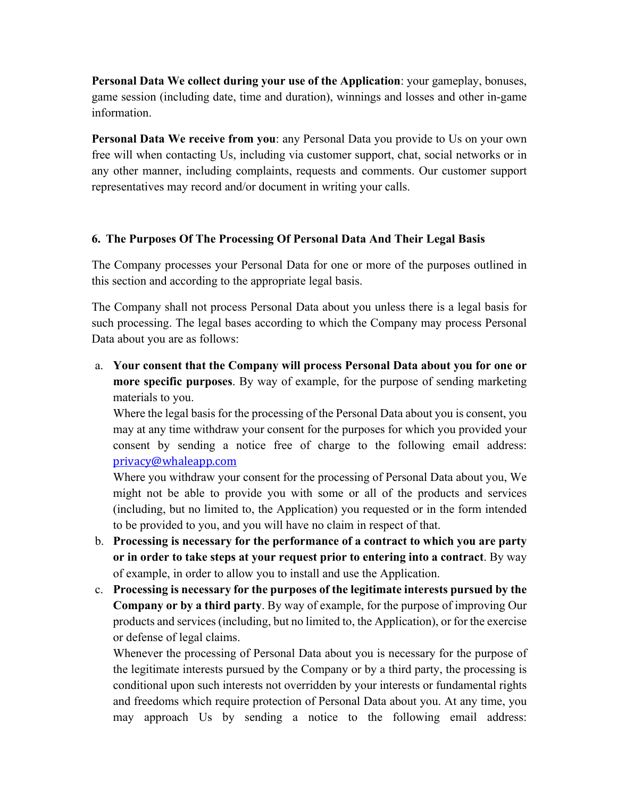**Personal Data We collect during your use of the Application**: your gameplay, bonuses, game session (including date, time and duration), winnings and losses and other in-game information.

**Personal Data We receive from you**: any Personal Data you provide to Us on your own free will when contacting Us, including via customer support, chat, social networks or in any other manner, including complaints, requests and comments. Our customer support representatives may record and/or document in writing your calls.

### **6. The Purposes Of The Processing Of Personal Data And Their Legal Basis**

The Company processes your Personal Data for one or more of the purposes outlined in this section and according to the appropriate legal basis.

The Company shall not process Personal Data about you unless there is a legal basis for such processing. The legal bases according to which the Company may process Personal Data about you are as follows:

a. **Your consent that the Company will process Personal Data about you for one or more specific purposes**. By way of example, for the purpose of sending marketing materials to you.

Where the legal basis for the processing of the Personal Data about you is consent, you may at any time withdraw your consent for the purposes for which you provided your consent by sending a notice free of charge to the following email address: privacy@whaleapp.com

Where you withdraw your consent for the processing of Personal Data about you, We might not be able to provide you with some or all of the products and services (including, but no limited to, the Application) you requested or in the form intended to be provided to you, and you will have no claim in respect of that.

- b. **Processing is necessary for the performance of a contract to which you are party or in order to take steps at your request prior to entering into a contract**. By way of example, in order to allow you to install and use the Application.
- c. **Processing is necessary for the purposes of the legitimate interests pursued by the Company or by a third party**. By way of example, for the purpose of improving Our products and services (including, but no limited to, the Application), or for the exercise or defense of legal claims.

Whenever the processing of Personal Data about you is necessary for the purpose of the legitimate interests pursued by the Company or by a third party, the processing is conditional upon such interests not overridden by your interests or fundamental rights and freedoms which require protection of Personal Data about you. At any time, you may approach Us by sending a notice to the following email address: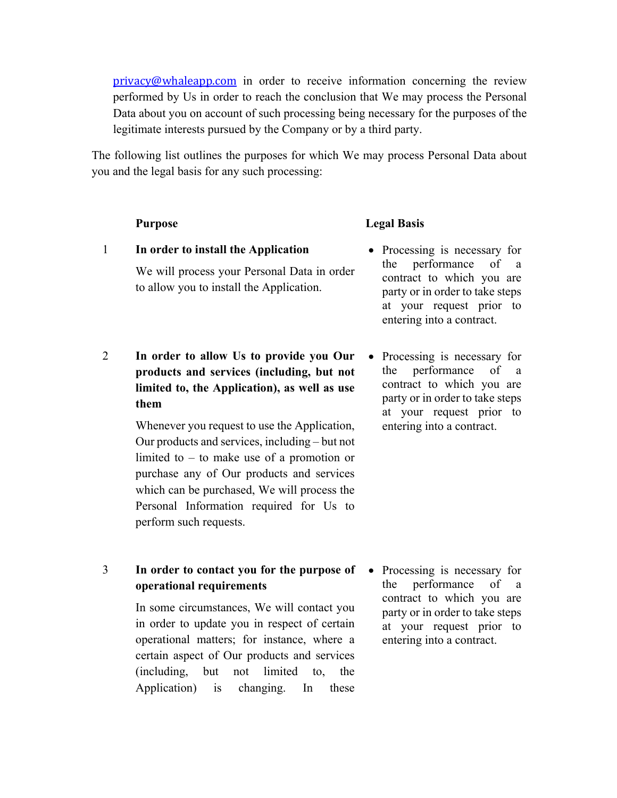privacy@whaleapp.com in order to receive information concerning the review performed by Us in order to reach the conclusion that We may process the Personal Data about you on account of such processing being necessary for the purposes of the legitimate interests pursued by the Company or by a third party.

The following list outlines the purposes for which We may process Personal Data about you and the legal basis for any such processing:

#### **Purpose Legal Basis**

- 1 **In order to install the Application** We will process your Personal Data in order to allow you to install the Application.
- 2 **In order to allow Us to provide you Our products and services (including, but not limited to, the Application), as well as use them**

Whenever you request to use the Application, Our products and services, including – but not limited to – to make use of a promotion or purchase any of Our products and services which can be purchased, We will process the Personal Information required for Us to perform such requests.

3 **In order to contact you for the purpose of operational requirements**

> In some circumstances, We will contact you in order to update you in respect of certain operational matters; for instance, where a certain aspect of Our products and services (including, but not limited to, the Application) is changing. In these

- Processing is necessary for the performance of a contract to which you are party or in order to take steps at your request prior to entering into a contract.
- Processing is necessary for the performance of a contract to which you are party or in order to take steps at your request prior to entering into a contract.

• Processing is necessary for the performance of a contract to which you are party or in order to take steps at your request prior to entering into a contract.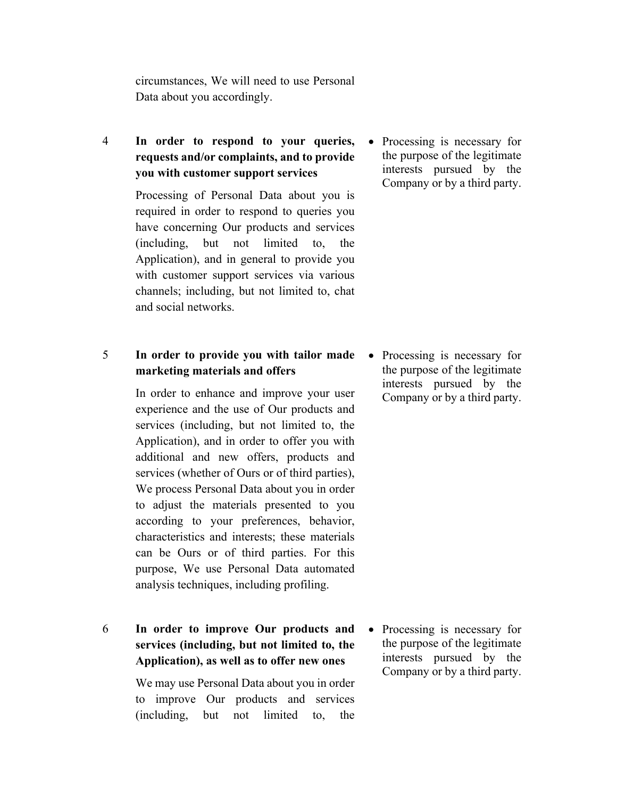circumstances, We will need to use Personal Data about you accordingly.

# 4 **In order to respond to your queries, requests and/or complaints, and to provide you with customer support services**

Processing of Personal Data about you is required in order to respond to queries you have concerning Our products and services (including, but not limited to, the Application), and in general to provide you with customer support services via various channels; including, but not limited to, chat and social networks.

# 5 **In order to provide you with tailor made marketing materials and offers**

In order to enhance and improve your user experience and the use of Our products and services (including, but not limited to, the Application), and in order to offer you with additional and new offers, products and services (whether of Ours or of third parties), We process Personal Data about you in order to adjust the materials presented to you according to your preferences, behavior, characteristics and interests; these materials can be Ours or of third parties. For this purpose, We use Personal Data automated analysis techniques, including profiling.

6 **In order to improve Our products and services (including, but not limited to, the Application), as well as to offer new ones**

> We may use Personal Data about you in order to improve Our products and services (including, but not limited to, the

• Processing is necessary for the purpose of the legitimate interests pursued by the Company or by a third party.

• Processing is necessary for the purpose of the legitimate interests pursued by the Company or by a third party.

• Processing is necessary for the purpose of the legitimate interests pursued by the Company or by a third party.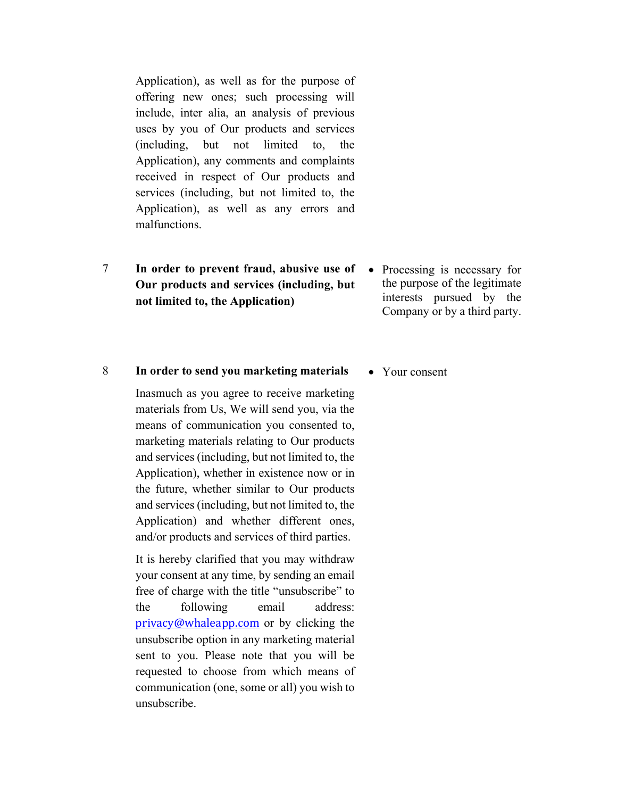Application), as well as for the purpose of offering new ones; such processing will include, inter alia, an analysis of previous uses by you of Our products and services (including, but not limited to, the Application), any comments and complaints received in respect of Our products and services (including, but not limited to, the Application), as well as any errors and malfunctions.

- 7 **In order to prevent fraud, abusive use of Our products and services (including, but not limited to, the Application)**
- Processing is necessary for the purpose of the legitimate interests pursued by the Company or by a third party.

#### 8 **In order to send you marketing materials**

Inasmuch as you agree to receive marketing materials from Us, We will send you, via the means of communication you consented to, marketing materials relating to Our products and services (including, but not limited to, the Application), whether in existence now or in the future, whether similar to Our products and services (including, but not limited to, the Application) and whether different ones, and/or products and services of third parties.

It is hereby clarified that you may withdraw your consent at any time, by sending an email free of charge with the title "unsubscribe" to the following email address: privacy@whaleapp.com or by clicking the unsubscribe option in any marketing material sent to you. Please note that you will be requested to choose from which means of communication (one, some or all) you wish to unsubscribe.

• Your consent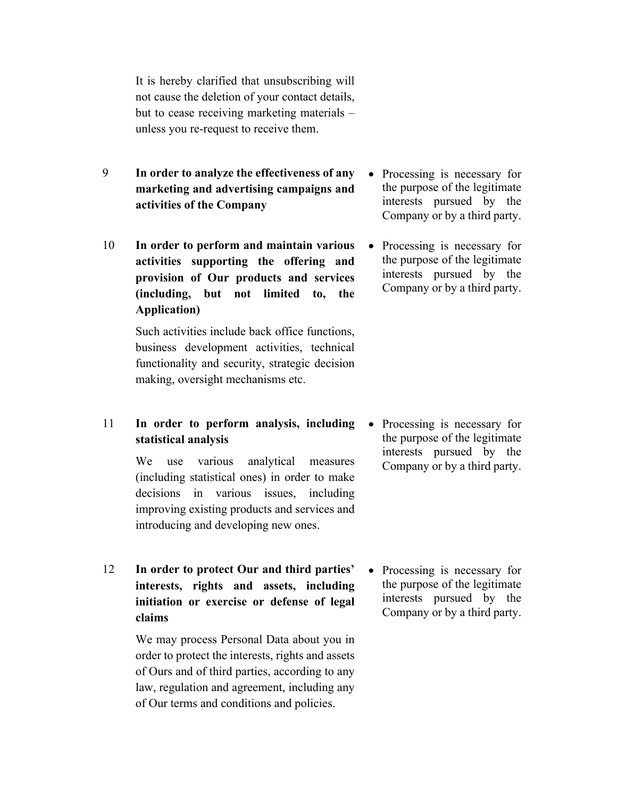It is hereby clarified that unsubscribing will not cause the deletion of your contact details, but to cease receiving marketing materials – unless you re-request to receive them.

- 9 **In order to analyze the effectiveness of any marketing and advertising campaigns and activities of the Company**
- 10 **In order to perform and maintain various activities supporting the offering and provision of Our products and services (including, but not limited to, the Application)**

Such activities include back office functions, business development activities, technical functionality and security, strategic decision making, oversight mechanisms etc.

11 **In order to perform analysis, including statistical analysis**

> We use various analytical measures (including statistical ones) in order to make decisions in various issues, including improving existing products and services and introducing and developing new ones.

12 **In order to protect Our and third parties' interests, rights and assets, including initiation or exercise or defense of legal claims**

> We may process Personal Data about you in order to protect the interests, rights and assets of Ours and of third parties, according to any law, regulation and agreement, including any of Our terms and conditions and policies.

- Processing is necessary for the purpose of the legitimate interests pursued by the Company or by a third party.
- Processing is necessary for the purpose of the legitimate interests pursued by the Company or by a third party.

• Processing is necessary for the purpose of the legitimate interests pursued by the Company or by a third party.

• Processing is necessary for the purpose of the legitimate interests pursued by the Company or by a third party.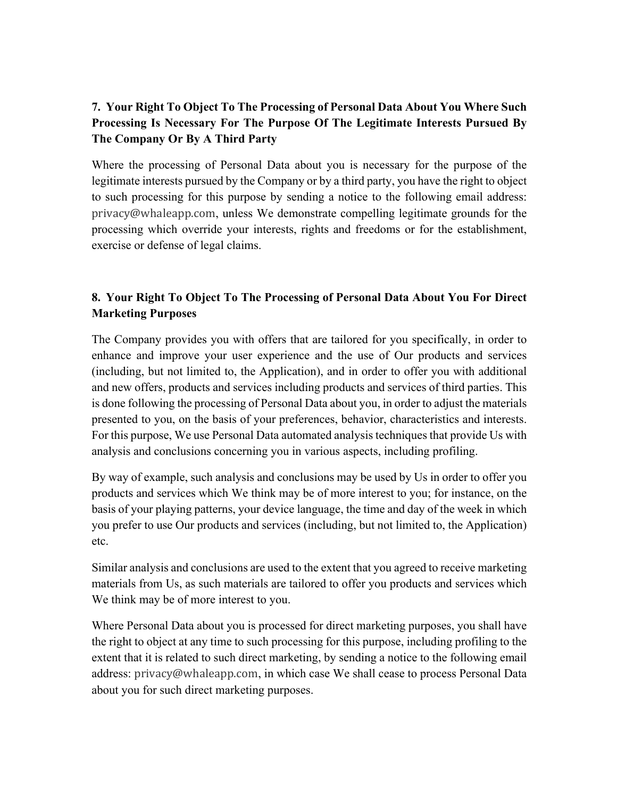# **7. Your Right To Object To The Processing of Personal Data About You Where Such Processing Is Necessary For The Purpose Of The Legitimate Interests Pursued By The Company Or By A Third Party**

Where the processing of Personal Data about you is necessary for the purpose of the legitimate interests pursued by the Company or by a third party, you have the right to object to such processing for this purpose by sending a notice to the following email address: privacy@whaleapp.com, unless We demonstrate compelling legitimate grounds for the processing which override your interests, rights and freedoms or for the establishment, exercise or defense of legal claims.

# **8. Your Right To Object To The Processing of Personal Data About You For Direct Marketing Purposes**

The Company provides you with offers that are tailored for you specifically, in order to enhance and improve your user experience and the use of Our products and services (including, but not limited to, the Application), and in order to offer you with additional and new offers, products and services including products and services of third parties. This is done following the processing of Personal Data about you, in order to adjust the materials presented to you, on the basis of your preferences, behavior, characteristics and interests. For this purpose, We use Personal Data automated analysis techniques that provide Us with analysis and conclusions concerning you in various aspects, including profiling.

By way of example, such analysis and conclusions may be used by Us in order to offer you products and services which We think may be of more interest to you; for instance, on the basis of your playing patterns, your device language, the time and day of the week in which you prefer to use Our products and services (including, but not limited to, the Application) etc.

Similar analysis and conclusions are used to the extent that you agreed to receive marketing materials from Us, as such materials are tailored to offer you products and services which We think may be of more interest to you.

Where Personal Data about you is processed for direct marketing purposes, you shall have the right to object at any time to such processing for this purpose, including profiling to the extent that it is related to such direct marketing, by sending a notice to the following email address: privacy@whaleapp.com, in which case We shall cease to process Personal Data about you for such direct marketing purposes.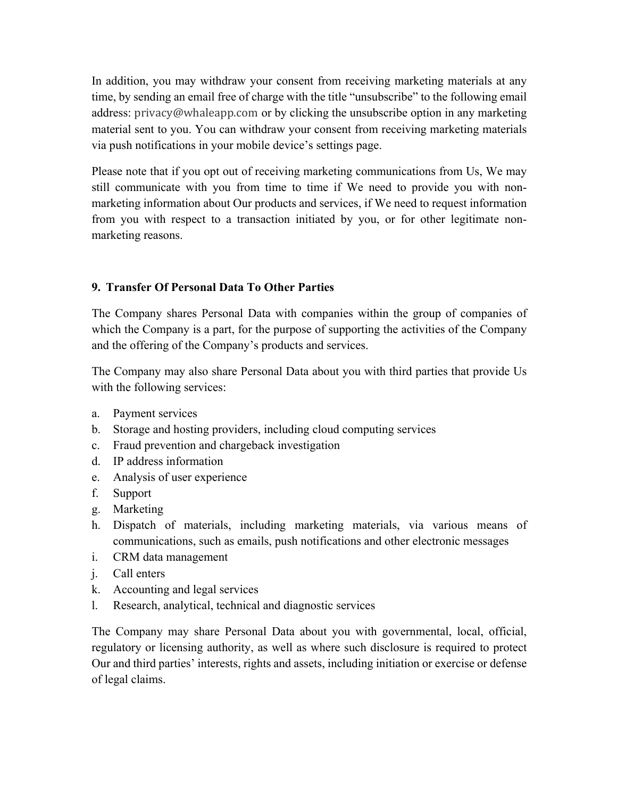In addition, you may withdraw your consent from receiving marketing materials at any time, by sending an email free of charge with the title "unsubscribe" to the following email address: privacy@whaleapp.com or by clicking the unsubscribe option in any marketing material sent to you. You can withdraw your consent from receiving marketing materials via push notifications in your mobile device's settings page.

Please note that if you opt out of receiving marketing communications from Us, We may still communicate with you from time to time if We need to provide you with nonmarketing information about Our products and services, if We need to request information from you with respect to a transaction initiated by you, or for other legitimate nonmarketing reasons.

# **9. Transfer Of Personal Data To Other Parties**

The Company shares Personal Data with companies within the group of companies of which the Company is a part, for the purpose of supporting the activities of the Company and the offering of the Company's products and services.

The Company may also share Personal Data about you with third parties that provide Us with the following services:

- a. Payment services
- b. Storage and hosting providers, including cloud computing services
- c. Fraud prevention and chargeback investigation
- d. IP address information
- e. Analysis of user experience
- f. Support
- g. Marketing
- h. Dispatch of materials, including marketing materials, via various means of communications, such as emails, push notifications and other electronic messages
- i. CRM data management
- j. Call enters
- k. Accounting and legal services
- l. Research, analytical, technical and diagnostic services

The Company may share Personal Data about you with governmental, local, official, regulatory or licensing authority, as well as where such disclosure is required to protect Our and third parties' interests, rights and assets, including initiation or exercise or defense of legal claims.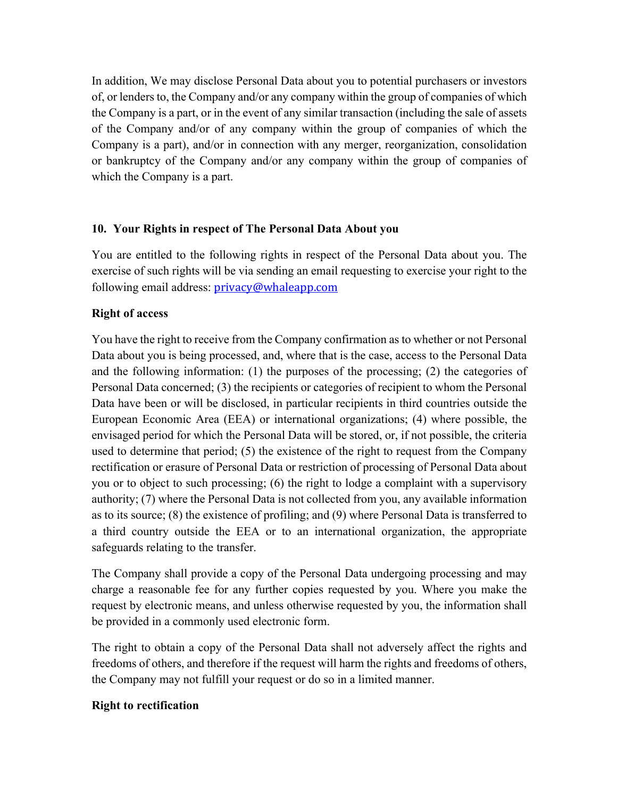In addition, We may disclose Personal Data about you to potential purchasers or investors of, or lenders to, the Company and/or any company within the group of companies of which the Company is a part, or in the event of any similar transaction (including the sale of assets of the Company and/or of any company within the group of companies of which the Company is a part), and/or in connection with any merger, reorganization, consolidation or bankruptcy of the Company and/or any company within the group of companies of which the Company is a part.

### **10. Your Rights in respect of The Personal Data About you**

You are entitled to the following rights in respect of the Personal Data about you. The exercise of such rights will be via sending an email requesting to exercise your right to the following email address: privacy@whaleapp.com

# **Right of access**

You have the right to receive from the Company confirmation as to whether or not Personal Data about you is being processed, and, where that is the case, access to the Personal Data and the following information: (1) the purposes of the processing; (2) the categories of Personal Data concerned; (3) the recipients or categories of recipient to whom the Personal Data have been or will be disclosed, in particular recipients in third countries outside the European Economic Area (EEA) or international organizations; (4) where possible, the envisaged period for which the Personal Data will be stored, or, if not possible, the criteria used to determine that period; (5) the existence of the right to request from the Company rectification or erasure of Personal Data or restriction of processing of Personal Data about you or to object to such processing; (6) the right to lodge a complaint with a supervisory authority; (7) where the Personal Data is not collected from you, any available information as to its source; (8) the existence of profiling; and (9) where Personal Data is transferred to a third country outside the EEA or to an international organization, the appropriate safeguards relating to the transfer.

The Company shall provide a copy of the Personal Data undergoing processing and may charge a reasonable fee for any further copies requested by you. Where you make the request by electronic means, and unless otherwise requested by you, the information shall be provided in a commonly used electronic form.

The right to obtain a copy of the Personal Data shall not adversely affect the rights and freedoms of others, and therefore if the request will harm the rights and freedoms of others, the Company may not fulfill your request or do so in a limited manner.

#### **Right to rectification**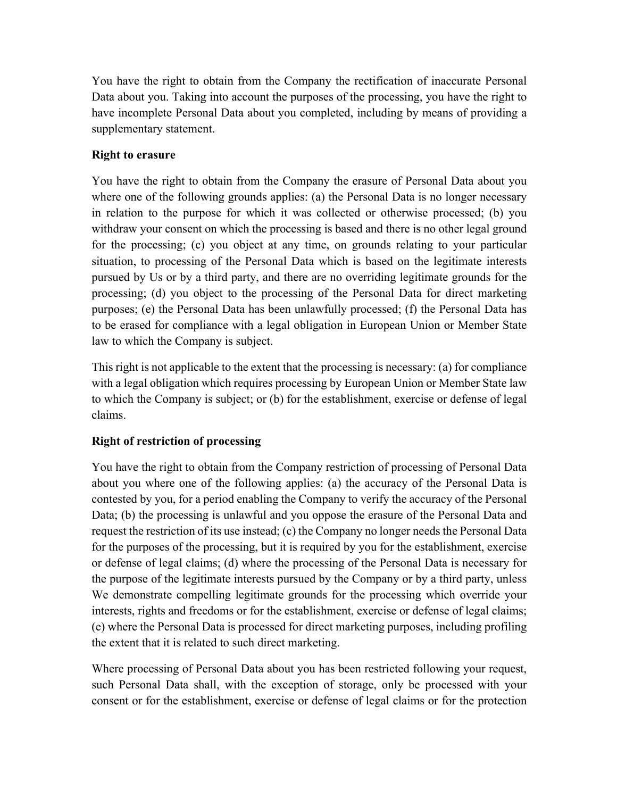You have the right to obtain from the Company the rectification of inaccurate Personal Data about you. Taking into account the purposes of the processing, you have the right to have incomplete Personal Data about you completed, including by means of providing a supplementary statement.

# **Right to erasure**

You have the right to obtain from the Company the erasure of Personal Data about you where one of the following grounds applies: (a) the Personal Data is no longer necessary in relation to the purpose for which it was collected or otherwise processed; (b) you withdraw your consent on which the processing is based and there is no other legal ground for the processing; (c) you object at any time, on grounds relating to your particular situation, to processing of the Personal Data which is based on the legitimate interests pursued by Us or by a third party, and there are no overriding legitimate grounds for the processing; (d) you object to the processing of the Personal Data for direct marketing purposes; (e) the Personal Data has been unlawfully processed; (f) the Personal Data has to be erased for compliance with a legal obligation in European Union or Member State law to which the Company is subject.

This right is not applicable to the extent that the processing is necessary: (a) for compliance with a legal obligation which requires processing by European Union or Member State law to which the Company is subject; or (b) for the establishment, exercise or defense of legal claims.

# **Right of restriction of processing**

You have the right to obtain from the Company restriction of processing of Personal Data about you where one of the following applies: (a) the accuracy of the Personal Data is contested by you, for a period enabling the Company to verify the accuracy of the Personal Data; (b) the processing is unlawful and you oppose the erasure of the Personal Data and request the restriction of its use instead; (c) the Company no longer needs the Personal Data for the purposes of the processing, but it is required by you for the establishment, exercise or defense of legal claims; (d) where the processing of the Personal Data is necessary for the purpose of the legitimate interests pursued by the Company or by a third party, unless We demonstrate compelling legitimate grounds for the processing which override your interests, rights and freedoms or for the establishment, exercise or defense of legal claims; (e) where the Personal Data is processed for direct marketing purposes, including profiling the extent that it is related to such direct marketing.

Where processing of Personal Data about you has been restricted following your request, such Personal Data shall, with the exception of storage, only be processed with your consent or for the establishment, exercise or defense of legal claims or for the protection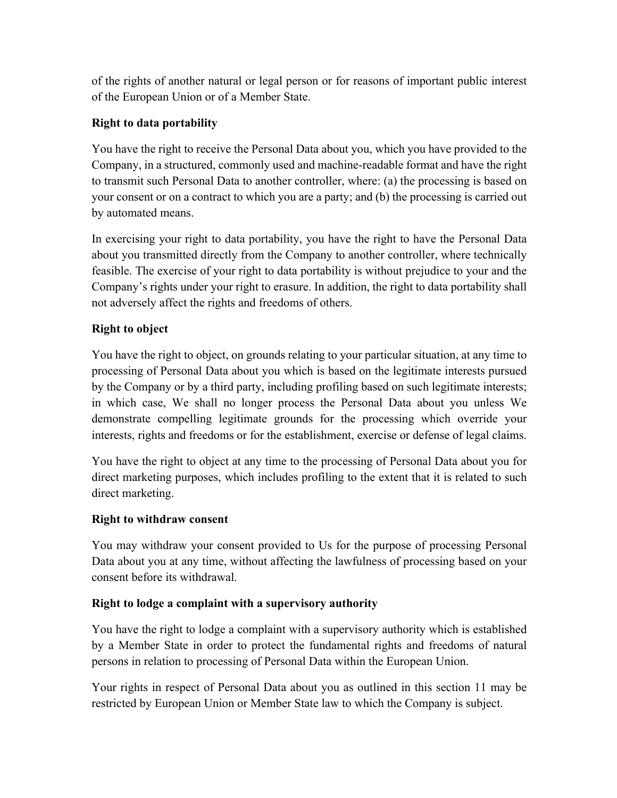of the rights of another natural or legal person or for reasons of important public interest of the European Union or of a Member State.

# **Right to data portability**

You have the right to receive the Personal Data about you, which you have provided to the Company, in a structured, commonly used and machine-readable format and have the right to transmit such Personal Data to another controller, where: (a) the processing is based on your consent or on a contract to which you are a party; and (b) the processing is carried out by automated means.

In exercising your right to data portability, you have the right to have the Personal Data about you transmitted directly from the Company to another controller, where technically feasible. The exercise of your right to data portability is without prejudice to your and the Company's rights under your right to erasure. In addition, the right to data portability shall not adversely affect the rights and freedoms of others.

# **Right to object**

You have the right to object, on grounds relating to your particular situation, at any time to processing of Personal Data about you which is based on the legitimate interests pursued by the Company or by a third party, including profiling based on such legitimate interests; in which case, We shall no longer process the Personal Data about you unless We demonstrate compelling legitimate grounds for the processing which override your interests, rights and freedoms or for the establishment, exercise or defense of legal claims.

You have the right to object at any time to the processing of Personal Data about you for direct marketing purposes, which includes profiling to the extent that it is related to such direct marketing.

# **Right to withdraw consent**

You may withdraw your consent provided to Us for the purpose of processing Personal Data about you at any time, without affecting the lawfulness of processing based on your consent before its withdrawal.

# **Right to lodge a complaint with a supervisory authority**

You have the right to lodge a complaint with a supervisory authority which is established by a Member State in order to protect the fundamental rights and freedoms of natural persons in relation to processing of Personal Data within the European Union.

Your rights in respect of Personal Data about you as outlined in this section 11 may be restricted by European Union or Member State law to which the Company is subject.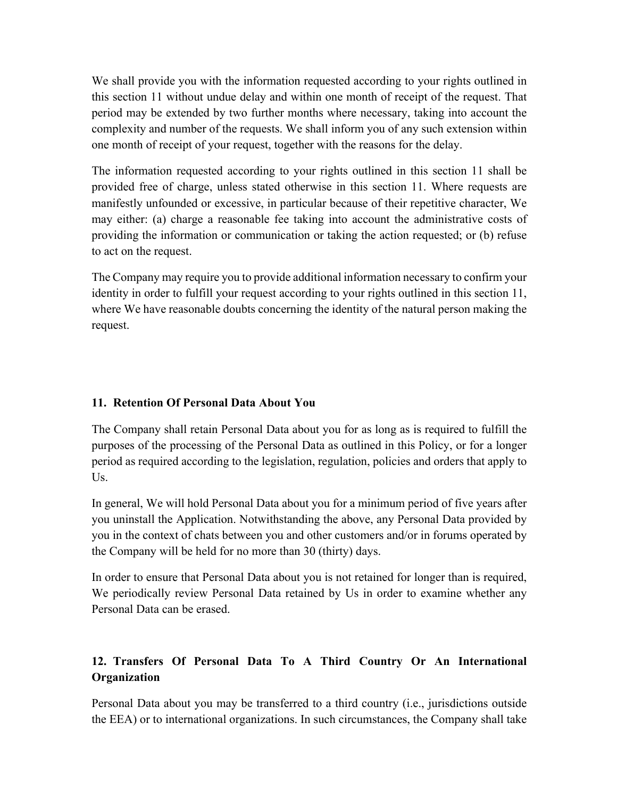We shall provide you with the information requested according to your rights outlined in this section 11 without undue delay and within one month of receipt of the request. That period may be extended by two further months where necessary, taking into account the complexity and number of the requests. We shall inform you of any such extension within one month of receipt of your request, together with the reasons for the delay.

The information requested according to your rights outlined in this section 11 shall be provided free of charge, unless stated otherwise in this section 11. Where requests are manifestly unfounded or excessive, in particular because of their repetitive character, We may either: (a) charge a reasonable fee taking into account the administrative costs of providing the information or communication or taking the action requested; or (b) refuse to act on the request.

The Company may require you to provide additional information necessary to confirm your identity in order to fulfill your request according to your rights outlined in this section 11, where We have reasonable doubts concerning the identity of the natural person making the request.

# **11. Retention Of Personal Data About You**

The Company shall retain Personal Data about you for as long as is required to fulfill the purposes of the processing of the Personal Data as outlined in this Policy, or for a longer period as required according to the legislation, regulation, policies and orders that apply to Us.

In general, We will hold Personal Data about you for a minimum period of five years after you uninstall the Application. Notwithstanding the above, any Personal Data provided by you in the context of chats between you and other customers and/or in forums operated by the Company will be held for no more than 30 (thirty) days.

In order to ensure that Personal Data about you is not retained for longer than is required, We periodically review Personal Data retained by Us in order to examine whether any Personal Data can be erased.

# **12. Transfers Of Personal Data To A Third Country Or An International Organization**

Personal Data about you may be transferred to a third country (i.e., jurisdictions outside the EEA) or to international organizations. In such circumstances, the Company shall take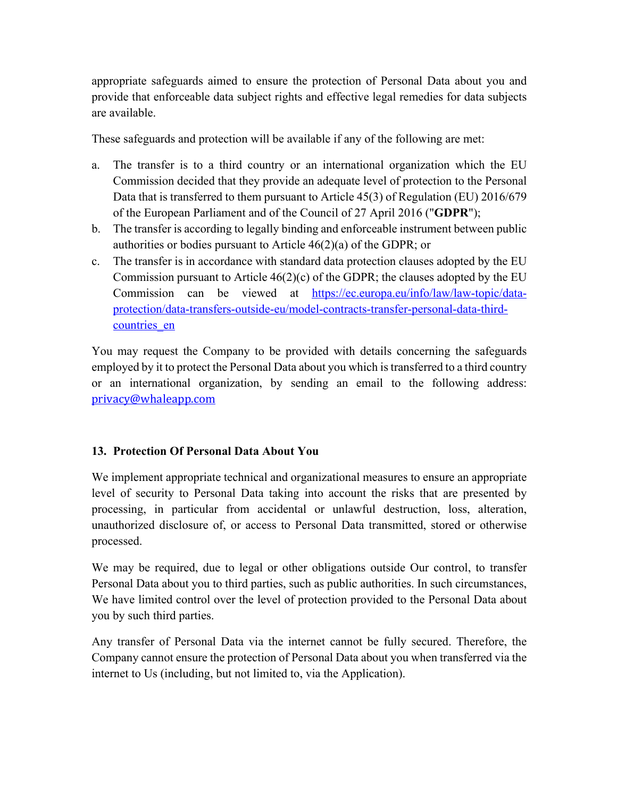appropriate safeguards aimed to ensure the protection of Personal Data about you and provide that enforceable data subject rights and effective legal remedies for data subjects are available.

These safeguards and protection will be available if any of the following are met:

- a. The transfer is to a third country or an international organization which the EU Commission decided that they provide an adequate level of protection to the Personal Data that is transferred to them pursuant to Article 45(3) of Regulation (EU) 2016/679 of the European Parliament and of the Council of 27 April 2016 ("**GDPR**");
- b. The transfer is according to legally binding and enforceable instrument between public authorities or bodies pursuant to Article 46(2)(a) of the GDPR; or
- c. The transfer is in accordance with standard data protection clauses adopted by the EU Commission pursuant to Article  $46(2)(c)$  of the GDPR; the clauses adopted by the EU Commission can be viewed at https://ec.europa.eu/info/law/law-topic/dataprotection/data-transfers-outside-eu/model-contracts-transfer-personal-data-thirdcountries\_en

You may request the Company to be provided with details concerning the safeguards employed by it to protect the Personal Data about you which is transferred to a third country or an international organization, by sending an email to the following address: privacy@whaleapp.com

# **13. Protection Of Personal Data About You**

We implement appropriate technical and organizational measures to ensure an appropriate level of security to Personal Data taking into account the risks that are presented by processing, in particular from accidental or unlawful destruction, loss, alteration, unauthorized disclosure of, or access to Personal Data transmitted, stored or otherwise processed.

We may be required, due to legal or other obligations outside Our control, to transfer Personal Data about you to third parties, such as public authorities. In such circumstances, We have limited control over the level of protection provided to the Personal Data about you by such third parties.

Any transfer of Personal Data via the internet cannot be fully secured. Therefore, the Company cannot ensure the protection of Personal Data about you when transferred via the internet to Us (including, but not limited to, via the Application).